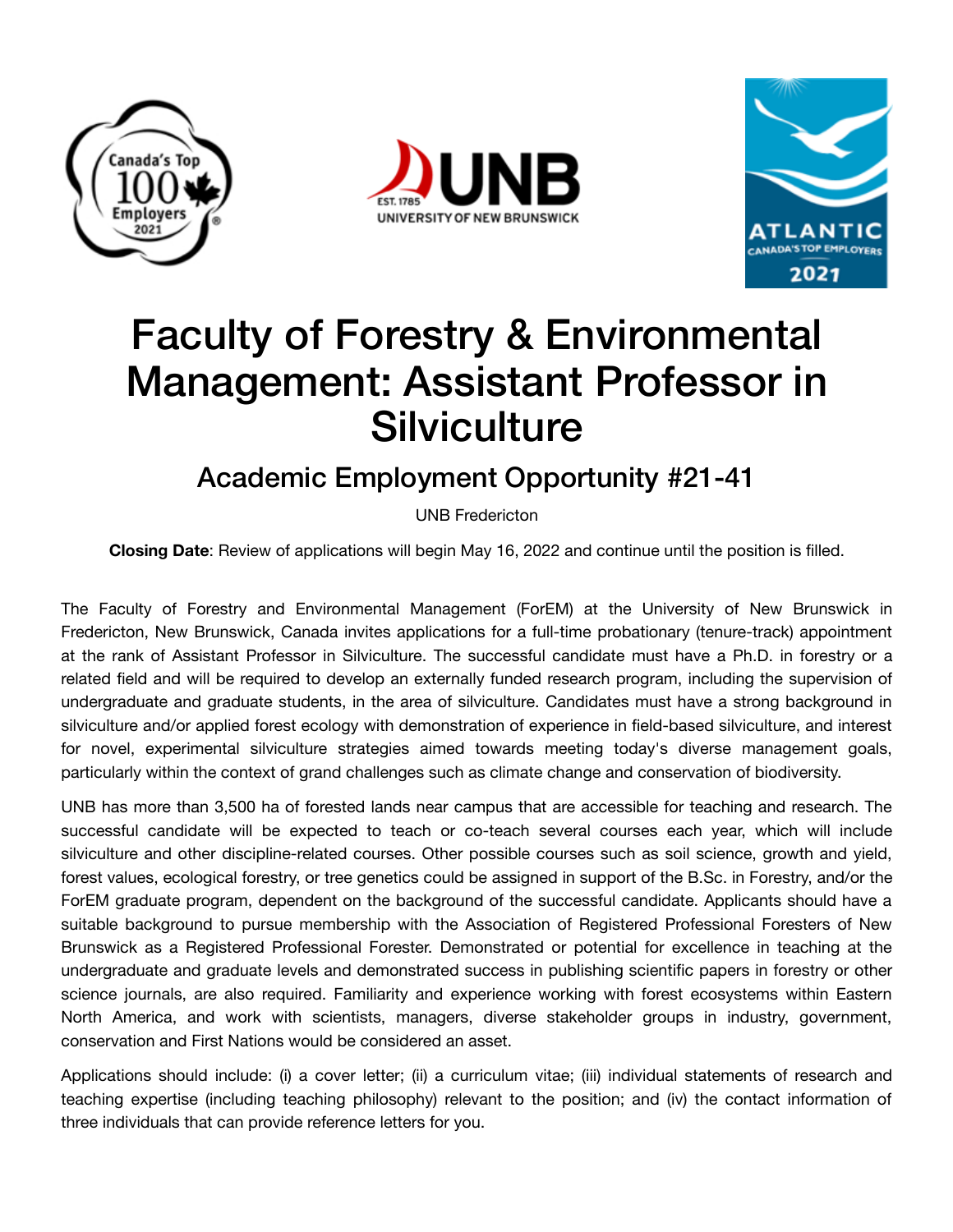





## Faculty of Forestry & Environmental Management: Assistant Professor in **Silviculture**

## Academic Employment Opportunity #21-41

UNB Fredericton

**Closing Date**: Review of applications will begin May 16, 2022 and continue until the position is filled.

The Faculty of Forestry and Environmental Management (ForEM) at the University of New Brunswick in Fredericton, New Brunswick, Canada invites applications for a full-time probationary (tenure-track) appointment at the rank of Assistant Professor in Silviculture. The successful candidate must have a Ph.D. in forestry or a related field and will be required to develop an externally funded research program, including the supervision of undergraduate and graduate students, in the area of silviculture. Candidates must have a strong background in silviculture and/or applied forest ecology with demonstration of experience in field-based silviculture, and interest for novel, experimental silviculture strategies aimed towards meeting today's diverse management goals, particularly within the context of grand challenges such as climate change and conservation of biodiversity.

UNB has more than 3,500 ha of forested lands near campus that are accessible for teaching and research. The successful candidate will be expected to teach or co-teach several courses each year, which will include silviculture and other discipline-related courses. Other possible courses such as soil science, growth and yield, forest values, ecological forestry, or tree genetics could be assigned in support of the B.Sc. in Forestry, and/or the ForEM graduate program, dependent on the background of the successful candidate. Applicants should have a suitable background to pursue membership with the Association of Registered Professional Foresters of New Brunswick as a Registered Professional Forester. Demonstrated or potential for excellence in teaching at the undergraduate and graduate levels and demonstrated success in publishing scientific papers in forestry or other science journals, are also required. Familiarity and experience working with forest ecosystems within Eastern North America, and work with scientists, managers, diverse stakeholder groups in industry, government, conservation and First Nations would be considered an asset.

Applications should include: (i) a cover letter; (ii) a curriculum vitae; (iii) individual statements of research and teaching expertise (including teaching philosophy) relevant to the position; and (iv) the contact information of three individuals that can provide reference letters for you.